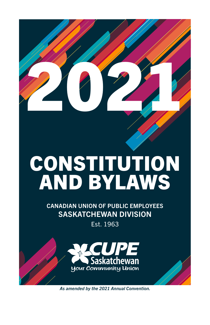

# CONSTITUTION AND BYLAWS

CANADIAN UNION OF PUBLIC EMPLOYEES SASKATCHEWAN DIVISION

Est. 1963



*As amended by the 2021 Annual Convention.*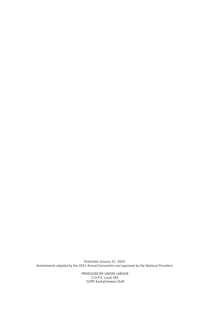*Published January 31, 2022. Amendments adopted by the 2021 Annual Convention and approved by the National President.*

> PRODUCED BY UNION LABOUR C.O.P.E. Local 342 CUPE Saskatchewan Staff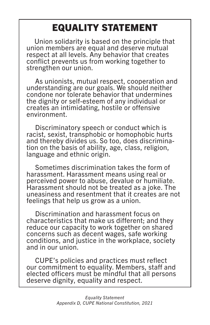# EQUALITY STATEMENT

 Union solidarity is based on the principle that union members are equal and deserve mutual respect at all levels. Any behavior that creates conflict prevents us from working together to strengthen our union.

 As unionists, mutual respect, cooperation and understanding are our goals. We should neither condone nor tolerate behavior that undermines the dignity or self-esteem of any individual or creates an intimidating, hostile or offensive environment.

 Discriminatory speech or conduct which is racist, sexist, transphobic or homophobic hurts and thereby divides us. So too, does discrimina- tion on the basis of ability, age, class, religion, language and ethnic origin.

 Sometimes discrimination takes the form of harassment. Harassment means using real or perceived power to abuse, devalue or humiliate. Harassment should not be treated as a joke. The uneasiness and resentment that it creates are not feelings that help us grow as a union.

 Discrimination and harassment focus on characteristics that make us different; and they reduce our capacity to work together on shared concerns such as decent wages, safe working conditions, and justice in the workplace, society and in our union.

 CUPE's policies and practices must reflect our commitment to equality. Members, staff and elected officers must be mindful that all persons deserve dignity, equality and respect.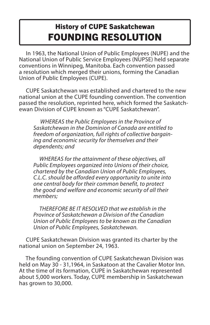### History of CUPE Saskatchewan FOUNDING RESOLUTION

 In 1963, the National Union of Public Employees (NUPE) and the National Union of Public Service Employees (NUPSE) held separate conventions in Winnipeg, Manitoba. Each convention passed a resolution which merged their unions, forming the Canadian Union of Public Employees (CUPE).

 CUPE Saskatchewan was established and chartered to the new national union at the CUPE founding convention. The convention passed the resolution, reprinted here, which formed the Saskatchewan Division of CUPE known as "CUPE Saskatchewan".

 *WHEREAS the Public Employees in the Province of Saskatchewan in the Dominion of Canada are entitled to freedom of organization, full rights of collective bargaining and economic security for themselves and their dependents; and*

 *WHEREAS for the attainment of these objectives, all Public Employees organized into Unions of their choice, chartered by the Canadian Union of Public Employees, C.L.C. should be afforded every opportunity to unite into one central body for their common benefit, to protect the good and welfare and economic security of all their members;*

 *THEREFORE BE IT RESOLVED that we establish in the Province of Saskatchewan a Division of the Canadian Union of Public Employees to be known as the Canadian Union of Public Employees, Saskatchewan.*

 CUPE Saskatchewan Division was granted its charter by the national union on September 24, 1963.

 The founding convention of CUPE Saskatchewan Division was held on May 30 - 31,1964, in Saskatoon at the Cavalier Motor Inn. At the time of its formation, CUPE in Saskatchewan represented about 5,000 workers. Today, CUPE membership in Saskatchewan has grown to 30,000.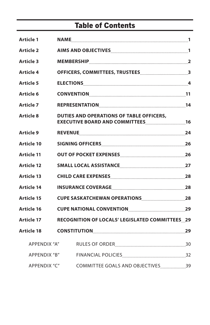### Table of Contents

| <b>Article 1</b>  |                                                                      |  |
|-------------------|----------------------------------------------------------------------|--|
| <b>Article 2</b>  |                                                                      |  |
| <b>Article 3</b>  |                                                                      |  |
| <b>Article 4</b>  |                                                                      |  |
| <b>Article 5</b>  |                                                                      |  |
| Article 6         |                                                                      |  |
| <b>Article 7</b>  |                                                                      |  |
| <b>Article 8</b>  | <b>DUTIES AND OPERATIONS OF TABLE OFFICERS,</b>                      |  |
| <b>Article 9</b>  |                                                                      |  |
| <b>Article 10</b> |                                                                      |  |
| <b>Article 11</b> | <b>OUT OF POCKET EXPENSES</b> [[11] THE REST POST OF POCKET EXPENSES |  |
| <b>Article 12</b> |                                                                      |  |
| <b>Article 13</b> |                                                                      |  |
| <b>Article 14</b> |                                                                      |  |
| <b>Article 15</b> |                                                                      |  |
| Article 16        |                                                                      |  |
| <b>Article 17</b> | RECOGNITION OF LOCALS' LEGISLATED COMMITTEES 29                      |  |
| Article 18        |                                                                      |  |
| APPENDIX "A"      |                                                                      |  |
| APPENDIX "B"      |                                                                      |  |
| APPENDIX "C"      | COMMITTEE GOALS AND OBJECTIVES39                                     |  |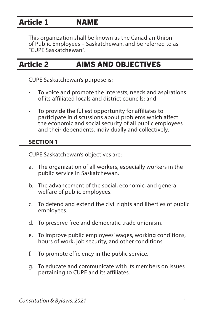### <span id="page-5-0"></span>Article 1 NAME

This organization shall be known as the Canadian Union of Public Employees – Saskatchewan, and be referred to as "CUPE Saskatchewan".

### Article 2 AIMS AND OBJECTIVES

CUPE Saskatchewan's purpose is:

- To voice and promote the interests, needs and aspirations of its affiliated locals and district councils; and
- To provide the fullest opportunity for affiliates to participate in discussions about problems which affect the economic and social security of all public employees and their dependents, individually and collectively.

### **SECTION 1**

CUPE Saskatchewan's objectives are:

- a. The organization of all workers, especially workers in the public service in Saskatchewan.
- b. The advancement of the social, economic, and general welfare of public employees.
- c. To defend and extend the civil rights and liberties of public employees.
- d. To preserve free and democratic trade unionism.
- e. To improve public employees' wages, working conditions, hours of work, job security, and other conditions.
- f. To promote efficiency in the public service.
- g. To educate and communicate with its members on issues pertaining to CUPE and its affiliates.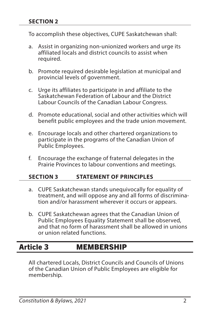<span id="page-6-0"></span>To accomplish these objectives, CUPE Saskatchewan shall:

- a. Assist in organizing non-unionized workers and urge its affiliated locals and district councils to assist when required.
- b. Promote required desirable legislation at municipal and provincial levels of government.
- c. Urge its affiliates to participate in and affiliate to the Saskatchewan Federation of Labour and the District Labour Councils of the Canadian Labour Congress.
- d. Promote educational, social and other activities which will benefit public employees and the trade union movement.
- e. Encourage locals and other chartered organizations to participate in the programs of the Canadian Union of Public Employees.
- f. Encourage the exchange of fraternal delegates in the Prairie Provinces to labour conventions and meetings.

### **SECTION 3 STATEMENT OF PRINCIPLES**

- a. CUPE Saskatchewan stands unequivocally for equality of treatment, and will oppose any and all forms of discrimination and/or harassment wherever it occurs or appears.
- b. CUPE Saskatchewan agrees that the Canadian Union of Public Employees Equality Statement shall be observed, and that no form of harassment shall be allowed in unions or union related functions.

### Article 3 MEMBERSHIP

All chartered Locals, District Councils and Councils of Unions of the Canadian Union of Public Employees are eligible for membership.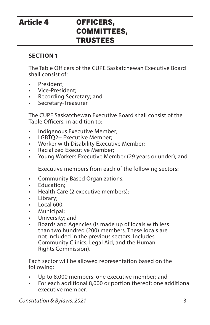### <span id="page-7-0"></span>Article 4 OFFICERS, COMMITTEES, TRUSTEES

### **SECTION 1**

The Table Officers of the CUPE Saskatchewan Executive Board shall consist of:

- President;
- Vice-President;
- Recording Secretary; and
- Secretary-Treasurer

The CUPE Saskatchewan Executive Board shall consist of the Table Officers, in addition to:

- Indigenous Executive Member;
- LGBTO2+ Executive Member:
- Worker with Disability Executive Member;
- Racialized Executive Member;
- Young Workers Executive Member (29 years or under); and

Executive members from each of the following sectors:

- Community Based Organizations;
- Education;
- Health Care (2 executive members);
- Library;
- Local 600:
- Municipal;
- University; and
- Boards and Agencies (is made up of locals with less than two hundred (200) members. These locals are not included in the previous sectors. Includes Community Clinics, Legal Aid, and the Human Rights Commission).

Each sector will be allowed representation based on the following:

- Up to 8,000 members: one executive member; and
- For each additional 8,000 or portion thereof: one additional executive member.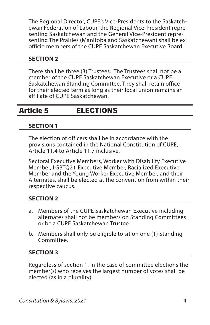<span id="page-8-0"></span>The Regional Director, CUPE's Vice-Presidents to the Saskatchewan Federation of Labour, the Regional Vice-President representing Saskatchewan and the General Vice-President representing The Prairies (Manitoba and Saskatchewan) shall be ex officio members of the CUPE Saskatchewan Executive Board.

### **SECTION 2**

There shall be three (3) Trustees. The Trustees shall not be a member of the CUPE Saskatchewan Executive or a CUPE Saskatchewan Standing Committee. They shall retain office for their elected term as long as their local union remains an affiliate of CUPE Saskatchewan.

### Article 5 ELECTIONS

### **SECTION 1**

The election of officers shall be in accordance with the provisions contained in the National Constitution of CUPE, Article 11.4 to Article 11.7 inclusive.

Sectoral Executive Members, Worker with Disability Executive Member, LGBTQ2+ Executive Member, Racialized Executive Member and the Young Worker Executive Member, and their Alternates, shall be elected at the convention from within their respective caucus.

### **SECTION 2**

- a. Members of the CUPE Saskatchewan Executive including alternates shall not be members on Standing Committees or be a CUPE Saskatchewan Trustee.
- b. Members shall only be eligible to sit on one (1) Standing Committee.

### **SECTION 3**

Regardless of section 1, in the case of committee elections the member(s) who receives the largest number of votes shall be elected (as in a plurality).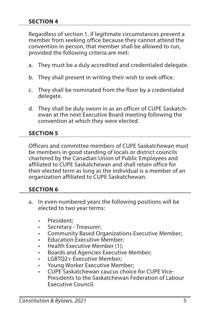#### **SECTION 4**

Regardless of section 1, if legitimate circumstances prevent a member from seeking office because they cannot attend the convention in person, that member shall be allowed to run, provided the following criteria are met:

- a. They must be a duly accredited and credentialed delegate.
- b. They shall present in writing their wish to seek office.
- c. They shall be nominated from the floor by a credentialed delegate.
- d. They shall be duly sworn in as an officer of CUPE Saskatchewan at the next Executive Board meeting following the convention at which they were elected.

### **SECTION 5**

Officers and committee members of CUPE Saskatchewan must be members in good standing of locals or district councils chartered by the Canadian Union of Public Employees and affiliated to CUPE Saskatchewan and shall retain office for their elected term as long as the individual is a member of an organization affiliated to CUPE Saskatchewan.

### **SECTION 6**

- I a. In even-numbered years the following positions will be elected to two year terms:
	- President:
	- Secretary Treasurer;
	- Community Based Organizations Executive Member;
	- **Education Executive Member:**
	- Health Executive Member (1);
	- Boards and Agencies Executive Member;
	- LGBTQ2+ Executive Member;
	- Young Worker Executive Member;
	- CUPE Saskatchewan caucus choice for CUPE Vice-Presidents to the Saskatchewan Federation of Labour Executive Council.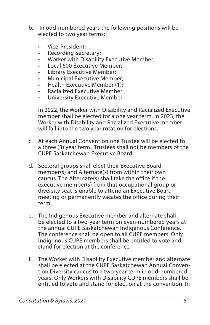- b. In odd-numbered years the following positions will be elected to two year terms:
	- Vice-President;
	- Recording Secretary;
	- Worker with Disability Executive Member;
	- Local 600 Executive Member;
	- Library Executive Member;
	- Municipal Executive Member;
	- Health Executive Member (1);
	- Racialized Executive Member;
	- University Executive Member.

In 2022, the Worker with Disability and Racialized Executive member shall be elected for a one year term. In 2023, the Worker with Disability and Racialized Executive member will fall into the two year rotation for elections.

- c. At each Annual Convention one Trustee will be elected to a three (3) year term. Trustees shall not be members of the CUPE Saskatchewan Executive Board.
- d. Sectoral groups shall elect their Executive Board member(s) and Alternate(s) from within their own caucus. The Alternate(s) shall take the office if the executive member(s) from that occupational group or diversity seat is unable to attend an Executive Board meeting or permanently vacates the office during their term.
- e. The Indigenous Executive member and alternate shall be elected to a two-year term on even-numbered years at the annual CUPE Saskatchewan Indigenous Conference. The conference shall be open to all CUPE members. Only Indigenous CUPE members shall be entitled to vote and stand for election at the conference.
- f. The Worker with Disability Executive member and alternate shall be elected at the CUPE Saskatchewan Annual Convention Diversity caucus to a two-year term in odd-numbered years. Only Workers with Disability CUPE members shall be entitled to vote and stand for election at the convention. In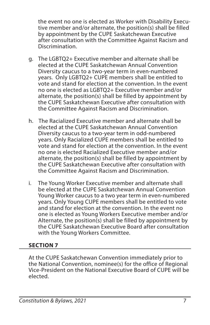the event no one is elected as Worker with Disability Executive member and/or alternate, the position(s) shall be filled by appointment by the CUPE Saskatchewan Executive after consultation with the Committee Against Racism and Discrimination.

- g. The LGBTQ2+ Executive member and alternate shall be elected at the CUPE Saskatchewan Annual Convention Diversity caucus to a two-year term in even-numbered years. Only LGBTQ2+ CUPE members shall be entitled to vote and stand for election at the convention. In the event no one is elected as LGBTQ2+ Executive member and/or alternate, the position(s) shall be filled by appointment by the CUPE Saskatchewan Executive after consultation with the Committee Against Racism and Discrimination.
- h. The Racialized Executive member and alternate shall be elected at the CUPE Saskatchewan Annual Convention Diversity caucus to a two-year term in odd-numbered years. Only Racialized CUPE members shall be entitled to vote and stand for election at the convention. In the event no one is elected Racialized Executive member and/or alternate, the position(s) shall be filled by appointment by the CUPE Saskatchewan Executive after consultation with the Committee Against Racism and Discrimination.
- i. The Young Worker Executive member and alternate shall be elected at the CUPE Saskatchewan Annual Convention Young Worker caucus to a two year term in even-numbered years. Only Young CUPE members shall be entitled to vote and stand for election at the convention. In the event no one is elected as Young Workers Executive member and/or Alternate, the position(s) shall be filled by appointment by the CUPE Saskatchewan Executive Board after consultation with the Young Workers Committee.

### **SECTION 7**

At the CUPE Saskatchewan Convention immediately prior to the National Convention, nominee(s) for the office of Regional Vice-President on the National Executive Board of CUPE will be elected.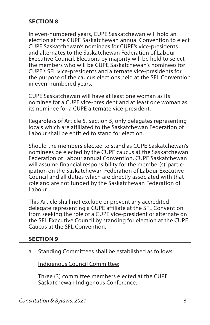#### **SECTION 8**

In even-numbered years, CUPE Saskatchewan will hold an election at the CUPE Saskatchewan annual Convention to elect CUPE Saskatchewan's nominees for CUPE's vice-presidents and alternates to the Saskatchewan Federation of Labour Executive Council. Elections by majority will be held to select the members who will be CUPE Saskatchewan's nominees for CUPE's SFL vice-presidents and alternate vice-presidents for the purpose of the caucus elections held at the SFL Convention in even-numbered years.

CUPE Saskatchewan will have at least one woman as its nominee for a CUPE vice-president and at least one woman as its nominee for a CUPE alternate vice-president.

Regardless of Article 5, Section 5, only delegates representing locals which are affiliated to the Saskatchewan Federation of Labour shall be entitled to stand for election.

Should the members elected to stand as CUPE Saskatchewan's nominees be elected by the CUPE caucus at the Saskatchewan Federation of Labour annual Convention, CUPE Saskatchewan will assume financial responsibility for the member(s)' participation on the Saskatchewan Federation of Labour Executive Council and all duties which are directly associated with that role and are not funded by the Saskatchewan Federation of Labour.

This Article shall not exclude or prevent any accredited delegate representing a CUPE affiliate at the SFL Convention from seeking the role of a CUPE vice-president or alternate on the SFL Executive Council by standing for election at the CUPE Caucus at the SFL Convention.

#### **SECTION 9**

a. Standing Committees shall be established as follows:

Indigenous Council Committee:

Three (3) committee members elected at the CUPE Saskatchewan Indigenous Conference.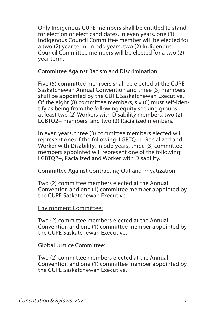Only Indigenous CUPE members shall be entitled to stand for election or elect candidates. In even years, one (1) Indigenous Council Committee member will be elected for a two (2) year term. In odd years, two (2) Indigenous Council Committee members will be elected for a two (2) year term.

### Committee Against Racism and Discrimination:

Five (5) committee members shall be elected at the CUPE Saskatchewan Annual Convention and three (3) members shall be appointed by the CUPE Saskatchewan Executive. Of the eight (8) committee members, six (6) must self-identify as being from the following equity seeking groups: at least two (2) Workers with Disability members, two (2) LGBTQ2+ members, and two (2) Racialized members.

In even years, three (3) committee members elected will represent one of the following: LGBTQ2+, Racialized and Worker with Disability. In odd years, three (3) committee members appointed will represent one of the following: LGBTQ2+, Racialized and Worker with Disability.

### Committee Against Contracting Out and Privatization:

Two (2) committee members elected at the Annual Convention and one (1) committee member appointed by the CUPE Saskatchewan Executive.

### Environment Committee:

Two (2) committee members elected at the Annual Convention and one (1) committee member appointed by the CUPE Saskatchewan Executive.

### Global Justice Committee:

Two (2) committee members elected at the Annual Convention and one (1) committee member appointed by the CUPE Saskatchewan Executive.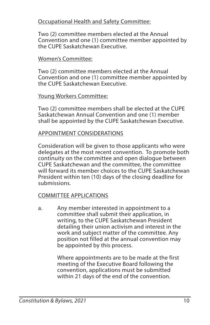### Occupational Health and Safety Committee:

Two (2) committee members elected at the Annual Convention and one (1) committee member appointed by the CUPE Saskatchewan Executive.

#### Women's Committee:

Two (2) committee members elected at the Annual Convention and one (1) committee member appointed by the CUPE Saskatchewan Executive.

#### Young Workers Committee:

Two (2) committee members shall be elected at the CUPE Saskatchewan Annual Convention and one (1) member shall be appointed by the CUPE Saskatchewan Executive.

#### APPOINTMENT CONSIDERATIONS

Consideration will be given to those applicants who were delegates at the most recent convention. To promote both continuity on the committee and open dialogue between CUPE Saskatchewan and the committee, the committee will forward its member choices to the CUPE Saskatchewan President within ten (10) days of the closing deadline for submissions.

### COMMITTEE APPLICATIONS

a. Any member interested in appointment to a committee shall submit their application, in writing, to the CUPE Saskatchewan President detailing their union activism and interest in the work and subject matter of the committee. Any position not filled at the annual convention may be appointed by this process.

> Where appointments are to be made at the first meeting of the Executive Board following the convention, applications must be submitted within 21 days of the end of the convention.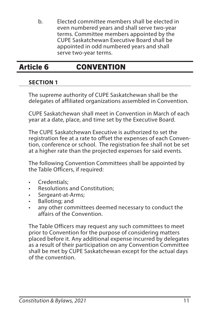<span id="page-15-0"></span>b. Elected committee members shall be elected in even numbered years and shall serve two-year terms. Committee members appointed by the CUPE Saskatchewan Executive Board shall be appointed in odd numbered years and shall serve two-year terms.

### Article 6 CONVENTION

### **SECTION 1**

The supreme authority of CUPE Saskatchewan shall be the delegates of affiliated organizations assembled in Convention.

CUPE Saskatchewan shall meet in Convention in March of each year at a date, place, and time set by the Executive Board.

The CUPE Saskatchewan Executive is authorized to set the registration fee at a rate to offset the expenses of each Convention, conference or school. The registration fee shall not be set at a higher rate than the projected expenses for said events.

The following Convention Committees shall be appointed by the Table Officers, if required:

- Credentials;
- Resolutions and Constitution;
- Sergeant-at-Arms;
- Balloting; and
- any other committees deemed necessary to conduct the affairs of the Convention.

The Table Officers may request any such committees to meet prior to Convention for the purpose of considering matters placed before it. Any additional expense incurred by delegates as a result of their participation on any Convention Committee shall be met by CUPE Saskatchewan except for the actual days of the convention.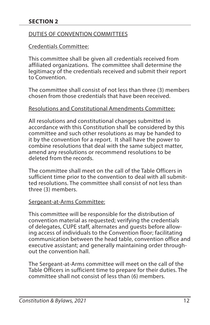### DUTIES OF CONVENTION COMMITTEES

### Credentials Committee:

This committee shall be given all credentials received from affiliated organizations. The committee shall determine the legitimacy of the credentials received and submit their report to Convention.

The committee shall consist of not less than three (3) members chosen from those credentials that have been received.

#### Resolutions and Constitutional Amendments Committee:

All resolutions and constitutional changes submitted in accordance with this Constitution shall be considered by this committee and such other resolutions as may be handed to it by the convention for a report. It shall have the power to combine resolutions that deal with the same subject matter, amend any resolutions or recommend resolutions to be deleted from the records.

The committee shall meet on the call of the Table Officers in sufficient time prior to the convention to deal with all submitted resolutions. The committee shall consist of not less than three (3) members.

### Sergeant-at-Arms Committee:

This committee will be responsible for the distribution of convention material as requested; verifying the credentials of delegates, CUPE staff, alternates and guests before allowing access of individuals to the Convention floor; facilitating communication between the head table, convention office and executive assistant; and generally maintaining order throughout the convention hall.

The Sergeant-at-Arms committee will meet on the call of the Table Officers in sufficient time to prepare for their duties. The committee shall not consist of less than (6) members.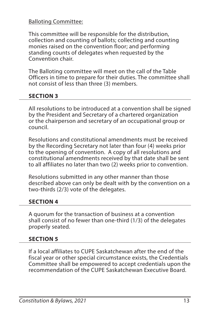### Balloting Committee:

This committee will be responsible for the distribution, collection and counting of ballots; collecting and counting monies raised on the convention floor; and performing standing counts of delegates when requested by the Convention chair.

The Balloting committee will meet on the call of the Table Officers in time to prepare for their duties. The committee shall not consist of less than three (3) members.

### **SECTION 3**

All resolutions to be introduced at a convention shall be signed by the President and Secretary of a chartered organization or the chairperson and secretary of an occupational group or council.

Resolutions and constitutional amendments must be received by the Recording Secretary not later than four (4) weeks prior to the opening of convention. A copy of all resolutions and constitutional amendments received by that date shall be sent to all affiliates no later than two (2) weeks prior to convention.

Resolutions submitted in any other manner than those described above can only be dealt with by the convention on a two-thirds (2/3) vote of the delegates.

### **SECTION 4**

A quorum for the transaction of business at a convention shall consist of no fewer than one-third (1/3) of the delegates properly seated.

### **SECTION 5**

If a local affiliates to CUPE Saskatchewan after the end of the fiscal year or other special circumstance exists, the Credentials Committee shall be empowered to accept credentials upon the recommendation of the CUPE Saskatchewan Executive Board.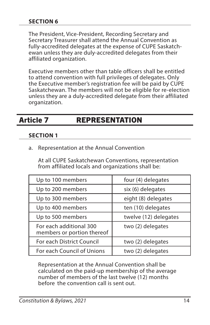#### <span id="page-18-0"></span>**SECTION 6**

The President, Vice-President, Recording Secretary and Secretary Treasurer shall attend the Annual Convention as fully-accredited delegates at the expense of CUPE Saskatchewan unless they are duly-accredited delegates from their affiliated organization.

Executive members other than table officers shall be entitled to attend convention with full privileges of delegates. Only the Executive member's registration fee will be paid by CUPE Saskatchewan. The members will not be eligible for re-election unless they are a duly-accredited delegate from their affiliated organization.

### Article 7 REPRESENTATION

#### **SECTION 1**

a. Representation at the Annual Convention

At all CUPE Saskatchewan Conventions, representation from affiliated locals and organizations shall be:

| Up to 100 members                                     | four (4) delegates    |
|-------------------------------------------------------|-----------------------|
| Up to 200 members                                     | six (6) delegates     |
| Up to 300 members                                     | eight (8) delegates   |
| Up to 400 members                                     | ten (10) delegates    |
| Up to 500 members                                     | twelve (12) delegates |
| For each additional 300<br>members or portion thereof | two (2) delegates     |
| For each District Council                             | two (2) delegates     |
| For each Council of Unions                            | two (2) delegates     |

Representation at the Annual Convention shall be calculated on the paid-up membership of the average number of members of the last twelve (12) months before the convention call is sent out.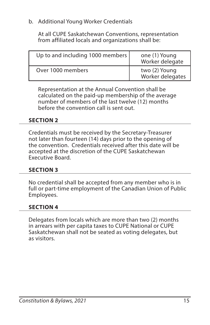### b. Additional Young Worker Credentials

At all CUPE Saskatchewan Conventions, representation from affiliated locals and organizations shall be:

| Up to and including 1000 members | one (1) Young<br>Worker delegate  |
|----------------------------------|-----------------------------------|
| Over 1000 members                | two (2) Young<br>Worker delegates |

Representation at the Annual Convention shall be calculated on the paid-up membership of the average number of members of the last twelve (12) months before the convention call is sent out.

### **SECTION 2**

Credentials must be received by the Secretary-Treasurer not later than fourteen (14) days prior to the opening of the convention. Credentials received after this date will be accepted at the discretion of the CUPE Saskatchewan Executive Board.

### **SECTION 3**

No credential shall be accepted from any member who is in full or part-time employment of the Canadian Union of Public Employees.

### **SECTION 4**

Delegates from locals which are more than two (2) months in arrears with per capita taxes to CUPE National or CUPE Saskatchewan shall not be seated as voting delegates, but as visitors.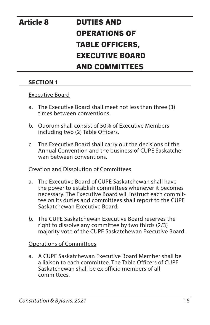# <span id="page-20-0"></span>Article 8 DUTIES AND OPERATIONS OF TABLE OFFICERS, EXECUTIVE BOARD AND COMMITTEES

### **SECTION 1**

#### Executive Board

- a. The Executive Board shall meet not less than three (3) times between conventions.
- b. Quorum shall consist of 50% of Executive Members including two (2) Table Officers.
- c. The Executive Board shall carry out the decisions of the Annual Convention and the business of CUPE Saskatchewan between conventions.

### Creation and Dissolution of Committees

- a. The Executive Board of CUPE Saskatchewan shall have the power to establish committees whenever it becomes necessary. The Executive Board will instruct each committee on its duties and committees shall report to the CUPE Saskatchewan Executive Board.
- b. The CUPE Saskatchewan Executive Board reserves the right to dissolve any committee by two thirds (2/3) majority vote of the CUPE Saskatchewan Executive Board.

### Operations of Committees

a. A CUPE Saskatchewan Executive Board Member shall be a liaison to each committee. The Table Officers of CUPE Saskatchewan shall be ex officio members of all committees.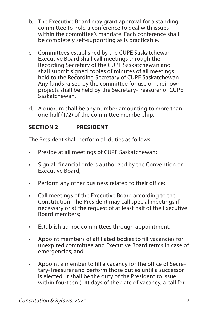- b. The Executive Board may grant approval for a standing committee to hold a conference to deal with issues within the committee's mandate. Each conference shall be completely self-supporting as is practicable.
- c. Committees established by the CUPE Saskatchewan Executive Board shall call meetings through the Recording Secretary of the CUPE Saskatchewan and shall submit signed copies of minutes of all meetings held to the Recording Secretary of CUPE Saskatchewan. Any funds raised by the committee for use on their own projects shall be held by the Secretary-Treasurer of CUPE Saskatchewan.
- d. A quorum shall be any number amounting to more than one-half (1/2) of the committee membership.

### **SECTION 2 PRESIDENT**

The President shall perform all duties as follows:

- Preside at all meetings of CUPE Saskatchewan;
- Sign all financial orders authorized by the Convention or Executive Board;
- Perform any other business related to their office;
- Call meetings of the Executive Board according to the Constitution. The President may call special meetings if necessary or at the request of at least half of the Executive Board members;
- Establish ad hoc committees through appointment;
- Appoint members of affiliated bodies to fill vacancies for unexpired committee and Executive Board terms in case of emergencies; and
- Appoint a member to fill a vacancy for the office of Secretary-Treasurer and perform those duties until a successor is elected. It shall be the duty of the President to issue within fourteen (14) days of the date of vacancy, a call for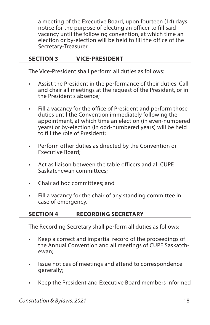a meeting of the Executive Board, upon fourteen (14) days notice for the purpose of electing an officer to fill said vacancy until the following convention, at which time an election or by-election will be held to fill the office of the Secretary-Treasurer.

### **SECTION 3 VICE-PRESIDENT**

The Vice-President shall perform all duties as follows:

- Assist the President in the performance of their duties. Call and chair all meetings at the request of the President, or in the President's absence;
- Fill a vacancy for the office of President and perform those duties until the Convention immediately following the appointment, at which time an election (in even-numbered years) or by-election (in odd-numbered years) will be held to fill the role of President;
- Perform other duties as directed by the Convention or Executive Board;
- Act as liaison between the table officers and all CUPE Saskatchewan committees;
- Chair ad hoc committees; and
- Fill a vacancy for the chair of any standing committee in case of emergency.

### **SECTION 4 RECORDING SECRETARY**

The Recording Secretary shall perform all duties as follows:

- Keep a correct and impartial record of the proceedings of the Annual Convention and all meetings of CUPE Saskatchewan;
- Issue notices of meetings and attend to correspondence generally;
- Keep the President and Executive Board members informed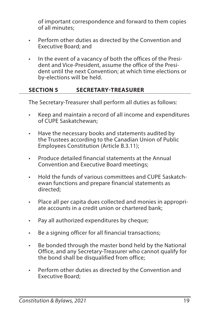of important correspondence and forward to them copies of all minutes;

- Perform other duties as directed by the Convention and Executive Board; and
- In the event of a vacancy of both the offices of the President and Vice-President, assume the office of the President until the next Convention; at which time elections or by-elections will be held.

### **SECTION 5 SECRETARY-TREASURER**

The Secretary-Treasurer shall perform all duties as follows:

- Keep and maintain a record of all income and expenditures of CUPE Saskatchewan;
- Have the necessary books and statements audited by the Trustees according to the Canadian Union of Public Employees Constitution (Article B.3.11);
- Produce detailed financial statements at the Annual Convention and Executive Board meetings;
- Hold the funds of various committees and CUPE Saskatchewan functions and prepare financial statements as directed;
- Place all per capita dues collected and monies in appropriate accounts in a credit union or chartered bank;
- Pay all authorized expenditures by cheque;
- Be a signing officer for all financial transactions;
- Be bonded through the master bond held by the National Office, and any Secretary-Treasurer who cannot qualify for the bond shall be disqualified from office;
- Perform other duties as directed by the Convention and Executive Board;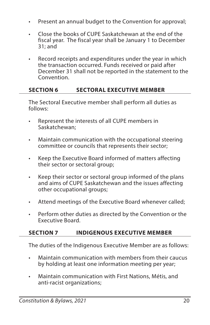- Present an annual budget to the Convention for approval;
- Close the books of CUPE Saskatchewan at the end of the fiscal year. The fiscal year shall be January 1 to December 31; and
- Record receipts and expenditures under the year in which the transaction occurred. Funds received or paid after December 31 shall not be reported in the statement to the Convention.

### **SECTION 6 SECTORAL EXECUTIVE MEMBER**

The Sectoral Executive member shall perform all duties as follows:

- Represent the interests of all CUPE members in Saskatchewan;
- Maintain communication with the occupational steering committee or councils that represents their sector;
- Keep the Executive Board informed of matters affecting their sector or sectoral group;
- Keep their sector or sectoral group informed of the plans and aims of CUPE Saskatchewan and the issues affecting other occupational groups;
- Attend meetings of the Executive Board whenever called;
- Perform other duties as directed by the Convention or the Executive Board.

### **SECTION 7 INDIGENOUS EXECUTIVE MEMBER**

The duties of the Indigenous Executive Member are as follows:

- Maintain communication with members from their caucus by holding at least one information meeting per year;
- Maintain communication with First Nations, Métis, and anti-racist organizations;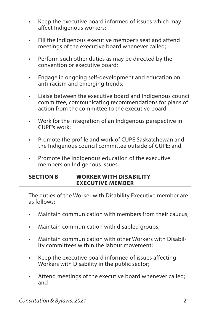- Keep the executive board informed of issues which may affect Indigenous workers;
- Fill the Indigenous executive member's seat and attend meetings of the executive board whenever called;
- Perform such other duties as may be directed by the convention or executive board;
- Engage in ongoing self-development and education on anti-racism and emerging trends;
- Liaise between the executive board and Indigenous council committee, communicating recommendations for plans of action from the committee to the executive board;
- Work for the integration of an Indigenous perspective in CUPE's work;
- Promote the profile and work of CUPE Saskatchewan and the Indigenous council committee outside of CUPE; and
- Promote the Indigenous education of the executive members on Indigenous issues.

### **SECTION 8 WORKER WITH DISABILITY EXECUTIVE MEMBER**

The duties of the Worker with Disability Executive member are as follows:

- Maintain communication with members from their caucus;
- Maintain communication with disabled groups;
- Maintain communication with other Workers with Disability committees within the labour movement;
- Keep the executive board informed of issues affecting Workers with Disability in the public sector;
- Attend meetings of the executive board whenever called; and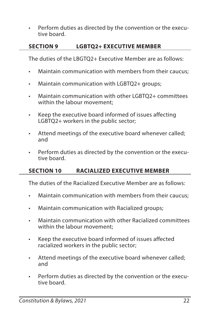• Perform duties as directed by the convention or the executive board.

### **SECTION 9 LGBTQ2+ EXECUTIVE MEMBER**

The duties of the LBGTQ2+ Executive Member are as follows:

- Maintain communication with members from their caucus;
- Maintain communication with LGBTQ2+ groups;
- Maintain communication with other LGBTQ2+ committees within the labour movement;
- Keep the executive board informed of issues affecting LGBTQ2+ workers in the public sector;
- Attend meetings of the executive board whenever called; and
- Perform duties as directed by the convention or the executive board.

### **SECTION 10 RACIALIZED EXECUTIVE MEMBER**

The duties of the Racialized Executive Member are as follows:

- Maintain communication with members from their caucus;
- Maintain communication with Racialized groups;
- Maintain communication with other Racialized committees within the labour movement;
- Keep the executive board informed of issues affected racialized workers in the public sector;
- Attend meetings of the executive board whenever called; and
- Perform duties as directed by the convention or the executive board.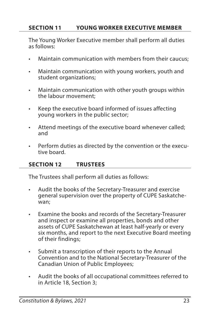### **SECTION 11 YOUNG WORKER EXECUTIVE MEMBER**

The Young Worker Executive member shall perform all duties as follows:

- Maintain communication with members from their caucus;
- Maintain communication with young workers, youth and student organizations;
- Maintain communication with other youth groups within the labour movement;
- Keep the executive board informed of issues affecting young workers in the public sector;
- Attend meetings of the executive board whenever called; and
- Perform duties as directed by the convention or the executive board.

### **SECTION 12 TRUSTEES**

The Trustees shall perform all duties as follows:

- Audit the books of the Secretary-Treasurer and exercise general supervision over the property of CUPE Saskatchewan;
- Examine the books and records of the Secretary-Treasurer and inspect or examine all properties, bonds and other assets of CUPE Saskatchewan at least half-yearly or every six months, and report to the next Executive Board meeting of their findings;
- Submit a transcription of their reports to the Annual Convention and to the National Secretary-Treasurer of the Canadian Union of Public Employees;
- Audit the books of all occupational committees referred to in Article 18, Section 3;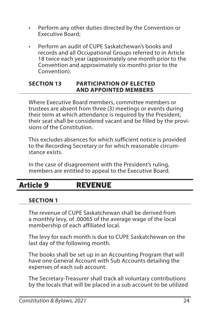- <span id="page-28-0"></span>• Perform any other duties directed by the Convention or Executive Board;
- Perform an audit of CUPE Saskatchewan's books and records and all Occupational Groups referred to in Article 18 twice each year (approximately one month prior to the Convention and approximately six months prior to the Convention).

#### **SECTION 13 PARTICIPATION OF ELECTED AND APPOINTED MEMBERS**

Where Executive Board members, committee members or trustees are absent from three (3) meetings or events during their term at which attendance is required by the President, their seat shall be considered vacant and be filled by the provisions of the Constitution.

This excludes absences for which sufficient notice is provided to the Recording Secretary or for which reasonable circumstance exists.

In the case of disagreement with the President's ruling, members are entitled to appeal to the Executive Board.

### Article 9 REVENUE

### **SECTION 1**

The revenue of CUPE Saskatchewan shall be derived from a monthly levy, of .00065 of the average wage of the local membership of each affiliated local.

The levy for each month is due to CUPE Saskatchewan on the last day of the following month.

The books shall be set up in an Accounting Program that will have one General Account with Sub Accounts detailing the expenses of each sub account.

The Secretary-Treasurer shall track all voluntary contributions by the locals that will be placed in a sub account to be utilized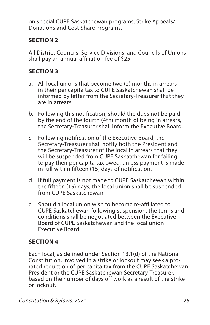on special CUPE Saskatchewan programs, Strike Appeals/ Donations and Cost Share Programs.

### **SECTION 2**

All District Councils, Service Divisions, and Councils of Unions shall pay an annual affiliation fee of \$25.

### **SECTION 3**

- a. All local unions that become two (2) months in arrears in their per capita tax to CUPE Saskatchewan shall be informed by letter from the Secretary-Treasurer that they are in arrears.
- b. Following this notification, should the dues not be paid by the end of the fourth (4th) month of being in arrears, the Secretary-Treasurer shall inform the Executive Board.
- c. Following notification of the Executive Board, the Secretary-Treasurer shall notify both the President and the Secretary-Treasurer of the local in arrears that they will be suspended from CUPE Saskatchewan for failing to pay their per capita tax owed, unless payment is made in full within fifteen (15) days of notification.
- d. If full payment is not made to CUPE Saskatchewan within the fifteen (15) days, the local union shall be suspended from CUPE Saskatchewan.
- e. Should a local union wish to become re-affiliated to CUPE Saskatchewan following suspension, the terms and conditions shall be negotiated between the Executive Board of CUPE Saskatchewan and the local union Executive Board.

### **SECTION 4**

Each local, as defined under Section 13.1(d) of the National Constitution, involved in a strike or lockout may seek a prorated reduction of per capita tax from the CUPE Saskatchewan President or the CUPE Saskatchewan Secretary-Treasurer, based on the number of days off work as a result of the strike or lockout.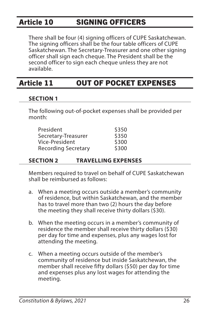### <span id="page-30-0"></span>Article 10 SIGNING OFFICERS

There shall be four (4) signing officers of CUPE Saskatchewan. The signing officers shall be the four table officers of CUPE Saskatchewan. The Secretary-Treasurer and one other signing officer shall sign each cheque. The President shall be the second officer to sign each cheque unless they are not available.

### Article 11 OUT OF POCKET EXPENSES

### **SECTION 1**

The following out-of-pocket expenses shall be provided per month:

| President                  | \$350 |
|----------------------------|-------|
| Secretary-Treasurer        | \$350 |
| Vice-President             | \$300 |
| <b>Recording Secretary</b> | \$300 |

### **SECTION 2 TRAVELLING EXPENSES**

Members required to travel on behalf of CUPE Saskatchewan shall be reimbursed as follows:

- a. When a meeting occurs outside a member's community of residence, but within Saskatchewan, and the member has to travel more than two (2) hours the day before the meeting they shall receive thirty dollars (\$30).
- b. When the meeting occurs in a member's community of residence the member shall receive thirty dollars (\$30) per day for time and expenses, plus any wages lost for attending the meeting.
- c. When a meeting occurs outside of the member's community of residence but inside Saskatchewan, the member shall receive fifty dollars (\$50) per day for time and expenses plus any lost wages for attending the meeting.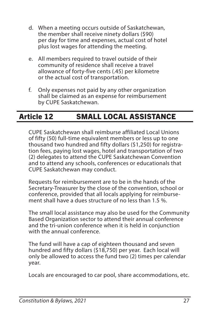- <span id="page-31-0"></span>d. When a meeting occurs outside of Saskatchewan, the member shall receive ninety dollars (\$90) per day for time and expenses, actual cost of hotel plus lost wages for attending the meeting.
- e. All members required to travel outside of their community of residence shall receive a travel allowance of forty-five cents (.45) per kilometre or the actual cost of transportation.
- f. Only expenses not paid by any other organization shall be claimed as an expense for reimbursement by CUPE Saskatchewan.

## Article 12 SMALL LOCAL ASSISTANCE

CUPE Saskatchewan shall reimburse affiliated Local Unions of fifty (50) full-time equivalent members or less up to one thousand two hundred and fifty dollars (\$1,250) for registration fees, paying lost wages, hotel and transportation of two (2) delegates to attend the CUPE Saskatchewan Convention and to attend any schools, conferences or educationals that CUPE Saskatchewan may conduct.

Requests for reimbursement are to be in the hands of the Secretary-Treasurer by the close of the convention, school or conference, provided that all locals applying for reimbursement shall have a dues structure of no less than 1.5 %.

The small local assistance may also be used for the Community Based Organization sector to attend their annual conference and the tri-union conference when it is held in conjunction with the annual conference.

The fund will have a cap of eighteen thousand and seven hundred and fifty dollars (\$18,750) per year. Each local will only be allowed to access the fund two (2) times per calendar year.

Locals are encouraged to car pool, share accommodations, etc.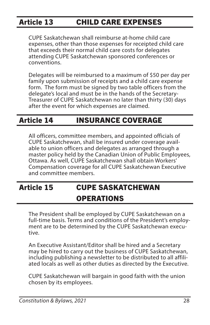### <span id="page-32-0"></span>Article 13 CHILD CARE EXPENSES

CUPE Saskatchewan shall reimburse at-home child care expenses, other than those expenses for receipted child care that exceeds their normal child care costs for delegates attending CUPE Saskatchewan sponsored conferences or conventions.

Delegates will be reimbursed to a maximum of \$50 per day per family upon submission of receipts and a child care expense form. The form must be signed by two table officers from the delegate's local and must be in the hands of the Secretary-Treasurer of CUPE Saskatchewan no later than thirty (30) days after the event for which expenses are claimed.

### Article 14 INSURANCE COVERAGE

All officers, committee members, and appointed officials of CUPE Saskatchewan, shall be insured under coverage available to union officers and delegates as arranged through a master policy held by the Canadian Union of Public Employees, Ottawa. As well, CUPE Saskatchewan shall obtain Workers' Compensation coverage for all CUPE Saskatchewan Executive and committee members.

### Article 15 CUPE SASKATCHEWAN **OPERATIONS**

The President shall be employed by CUPE Saskatchewan on a full-time basis. Terms and conditions of the President's employment are to be determined by the CUPE Saskatchewan executive.

An Executive Assistant/Editor shall be hired and a Secretary may be hired to carry out the business of CUPE Saskatchewan, including publishing a newsletter to be distributed to all affiliated locals as well as other duties as directed by the Executive.

CUPE Saskatchewan will bargain in good faith with the union chosen by its employees.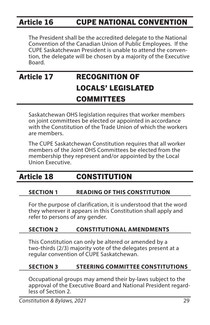### <span id="page-33-0"></span>Article 16 CUPE NATIONAL CONVENTION

The President shall be the accredited delegate to the National Convention of the Canadian Union of Public Employees. If the CUPE Saskatchewan President is unable to attend the convention, the delegate will be chosen by a majority of the Executive Board.

### Article 17 RECOGNITION OF LOCALS' LEGISLATED **COMMITTEES**

Saskatchewan OHS legislation requires that worker members on joint committees be elected or appointed in accordance with the Constitution of the Trade Union of which the workers are members.

The CUPE Saskatchewan Constitution requires that all worker members of the Joint OHS Committees be elected from the membership they represent and/or appointed by the Local Union Executive.

### Article 18 CONSTITUTION

### **SECTION 1 READING OF THIS CONSTITUTION**

For the purpose of clarification, it is understood that the word they wherever it appears in this Constitution shall apply and refer to persons of any gender.

### **SECTION 2 CONSTITUTIONAL AMENDMENTS**

This Constitution can only be altered or amended by a two-thirds (2/3) majority vote of the delegates present at a regular convention of CUPE Saskatchewan.

### **SECTION 3 STEERING COMMITTEE CONSTITUTIONS**

Occupational groups may amend their by-laws subject to the approval of the Executive Board and National President regardless of Section 2.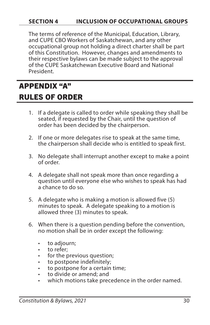### <span id="page-34-0"></span>**SECTION 4 INCLUSION OF OCCUPATIONAL GROUPS**

The terms of reference of the Municipal, Education, Library, and CUPE CBO Workers of Saskatchewan, and any other occupational group not holding a direct charter shall be part of this Constitution. However, changes and amendments to their respective bylaws can be made subject to the approval of the CUPE Saskatchewan Executive Board and National President.

### APPENDIX "A" RULES OF ORDER

- 1. If a delegate is called to order while speaking they shall be seated, if requested by the Chair, until the question of order has been decided by the chairperson.
- 2. If one or more delegates rise to speak at the same time, the chairperson shall decide who is entitled to speak first.
- 3. No delegate shall interrupt another except to make a point of order.
- 4. A delegate shall not speak more than once regarding a question until everyone else who wishes to speak has had a chance to do so.
- 5. A delegate who is making a motion is allowed five (5) minutes to speak. A delegate speaking to a motion is allowed three (3) minutes to speak.
- 6. When there is a question pending before the convention, no motion shall be in order except the following:
	- to adjourn;
	- to refer;
	- for the previous question;
	- to postpone indefinitely;
	- to postpone for a certain time;
	- to divide or amend; and
	- which motions take precedence in the order named.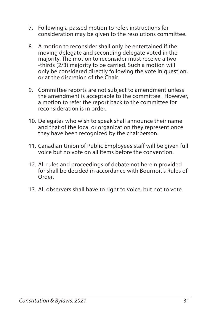- 7. Following a passed motion to refer, instructions for consideration may be given to the resolutions committee.
- 8. A motion to reconsider shall only be entertained if the moving delegate and seconding delegate voted in the majority. The motion to reconsider must receive a two -thirds (2/3) majority to be carried. Such a motion will only be considered directly following the vote in question, or at the discretion of the Chair.
- 9. Committee reports are not subject to amendment unless the amendment is acceptable to the committee. However, a motion to refer the report back to the committee for reconsideration is in order.
- 10. Delegates who wish to speak shall announce their name and that of the local or organization they represent once they have been recognized by the chairperson.
- 11. Canadian Union of Public Employees staff will be given full voice but no vote on all items before the convention.
- 12. All rules and proceedings of debate not herein provided for shall be decided in accordance with Bournoit's Rules of Order.
- 13. All observers shall have to right to voice, but not to vote.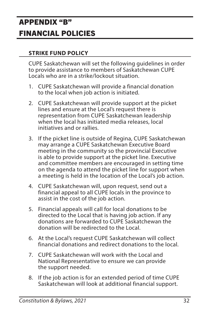### <span id="page-36-0"></span>APPENDIX "B" FINANCIAL POLICIES

### **STRIKE FUND POLICY**

CUPE Saskatchewan will set the following guidelines in order to provide assistance to members of Saskatchewan CUPE Locals who are in a strike/lockout situation.

- 1. CUPE Saskatchewan will provide a financial donation to the local when job action is initiated.
- 2. CUPE Saskatchewan will provide support at the picket lines and ensure at the Local's request there is representation from CUPE Saskatchewan leadership when the local has initiated media releases, local initiatives and or rallies.
- 3. If the picket line is outside of Regina, CUPE Saskatchewan may arrange a CUPE Saskatchewan Executive Board meeting in the community so the provincial Executive is able to provide support at the picket line. Executive and committee members are encouraged in setting time on the agenda to attend the picket line for support when a meeting is held in the location of the Local's job action.
- 4. CUPE Saskatchewan will, upon request, send out a financial appeal to all CUPE locals in the province to assist in the cost of the job action.
- 5. Financial appeals will call for local donations to be directed to the Local that is having job action. If any donations are forwarded to CUPE Saskatchewan the donation will be redirected to the Local.
- 6. At the Local's request CUPE Saskatchewan will collect financial donations and redirect donations to the local.
- 7. CUPE Saskatchewan will work with the Local and National Representative to ensure we can provide the support needed.
- 8. If the job action is for an extended period of time CUPE Saskatchewan will look at additional financial support.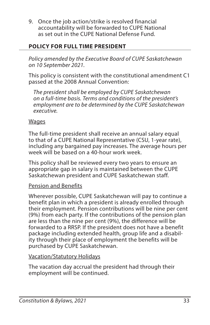9. Once the job action/strike is resolved financial accountability will be forwarded to CUPE National as set out in the CUPE National Defense Fund.

### **POLICY FOR FULL TIME PRESIDENT**

*Policy amended by the Executive Board of CUPE Saskatchewan on 10 September 2021.* 

This policy is consistent with the constitutional amendment C1 passed at the 2008 Annual Convention:

*The president shall be employed by CUPE Saskatchewan on a full-time basis. Terms and conditions of the president's employment are to be determined by the CUPE Saskatchewan executive.*

### **Wages**

The full-time president shall receive an annual salary equal to that of a CUPE National Representative (CSU, 1-year rate), including any bargained pay increases. The average hours per week will be based on a 40-hour work week.

This policy shall be reviewed every two years to ensure an appropriate gap in salary is maintained between the CUPE Saskatchewan president and CUPE Saskatchewan staff.

### Pension and Benefits

Wherever possible, CUPE Saskatchewan will pay to continue a benefit plan in which a president is already enrolled through their employment. Pension contributions will be nine per cent (9%) from each party. If the contributions of the pension plan are less than the nine per cent (9%), the difference will be forwarded to a RRSP. If the president does not have a benefit package including extended health, group life and a disability through their place of employment the benefits will be purchased by CUPE Saskatchewan.

### Vacation/Statutory Holidays

The vacation day accrual the president had through their employment will be continued.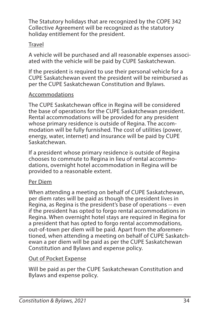The Statutory holidays that are recognized by the COPE 342 Collective Agreement will be recognized as the statutory holiday entitlement for the president.

### Travel

A vehicle will be purchased and all reasonable expenses associated with the vehicle will be paid by CUPE Saskatchewan.

If the president is required to use their personal vehicle for a CUPE Saskatchewan event the president will be reimbursed as per the CUPE Saskatchewan Constitution and Bylaws.

### Accommodations

The CUPE Saskatchewan office in Regina will be considered the base of operations for the CUPE Saskatchewan president. Rental accommodations will be provided for any president whose primary residence is outside of Regina. The accommodation will be fully furnished. The cost of utilities (power, energy, water, internet) and insurance will be paid by CUPE Saskatchewan.

If a president whose primary residence is outside of Regina chooses to commute to Regina in lieu of rental accommodations, overnight hotel accommodation in Regina will be provided to a reasonable extent.

### Per Diem

When attending a meeting on behalf of CUPE Saskatchewan, per diem rates will be paid as though the president lives in Regina, as Regina is the president's base of operations -- even if the president has opted to forgo rental accommodations in Regina. When overnight hotel stays are required in Regina for a president that has opted to forgo rental accommodations, out-of-town per diem will be paid. Apart from the aforementioned, when attending a meeting on behalf of CUPE Saskatchewan a per diem will be paid as per the CUPE Saskatchewan Constitution and Bylaws and expense policy.

### Out of Pocket Expense

Will be paid as per the CUPE Saskatchewan Constitution and Bylaws and expense policy.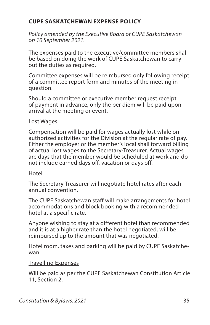*Policy amended by the Executive Board of CUPE Saskatchewan on 10 September 2021.* 

The expenses paid to the executive/committee members shall be based on doing the work of CUPE Saskatchewan to carry out the duties as required.

Committee expenses will be reimbursed only following receipt of a committee report form and minutes of the meeting in question.

Should a committee or executive member request receipt of payment in advance, only the per diem will be paid upon arrival at the meeting or event.

#### Lost Wages

Compensation will be paid for wages actually lost while on authorized activities for the Division at the regular rate of pay. Either the employer or the member's local shall forward billing of actual lost wages to the Secretary-Treasurer. Actual wages are days that the member would be scheduled at work and do not include earned days off, vacation or days off.

#### Hotel

The Secretary-Treasurer will negotiate hotel rates after each annual convention.

The CUPE Saskatchewan staff will make arrangements for hotel accommodations and block booking with a recommended hotel at a specific rate.

Anyone wishing to stay at a different hotel than recommended and it is at a higher rate than the hotel negotiated, will be reimbursed up to the amount that was negotiated.

Hotel room, taxes and parking will be paid by CUPE Saskatchewan.

#### Travelling Expenses

Will be paid as per the CUPE Saskatchewan Constitution Article 11, Section 2.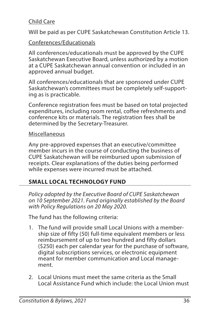### Child Care

Will be paid as per CUPE Saskatchewan Constitution Article 13.

### Conferences/Educationals

All conferences/educationals must be approved by the CUPE Saskatchewan Executive Board, unless authorized by a motion at a CUPE Saskatchewan annual convention or included in an approved annual budget.

All conferences/educationals that are sponsored under CUPE Saskatchewan's committees must be completely self-supporting as is practicable. İ

Conference registration fees must be based on total projected expenditures, including room rental, coffee refreshments and conference kits or materials. The registration fees shall be determined by the Secretary-Treasurer.

### Miscellaneous

Any pre-approved expenses that an executive/committee member incurs in the course of conducting the business of CUPE Saskatchewan will be reimbursed upon submission of receipts. Clear explanations of the duties being performed while expenses were incurred must be attached.

### **SMALL LOCAL TECHNOLOGY FUND**

*Policy adopted by the Executive Board of CUPE Saskatchewan on 10 September 2021. Fund originally established by the Board with Policy Regulations on 20 May 2020.*

The fund has the following criteria:

- 1. The fund will provide small Local Unions with a membership size of fifty (50) full-time equivalent members or less reimbursement of up to two hundred and fifty dollars (\$250) each per calendar year for the purchase of software, digital subscriptions services, or electronic equipment meant for member communication and Local management.
- 2. Local Unions must meet the same criteria as the Small Local Assistance Fund which include: the Local Union must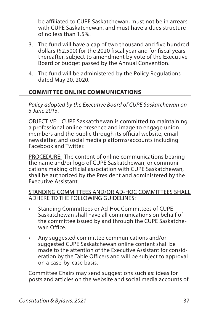be affiliated to CUPE Saskatchewan, must not be in arrears with CUPE Saskatchewan, and must have a dues structure of no less than 1.5%.

- 3. The fund will have a cap of two thousand and five hundred dollars (\$2,500) for the 2020 fiscal year and for fiscal years thereafter, subject to amendment by vote of the Executive Board or budget passed by the Annual Convention.
- 4. The fund will be administered by the Policy Regulations dated May 20, 2020.

### **COMMITTEE ONLINE COMMUNICATIONS**

*Policy adopted by the Executive Board of CUPE Saskatchewan on 5 June 2015.*

OBJECTIVE: CUPE Saskatchewan is committed to maintaining a professional online presence and image to engage union members and the public through its official website, email newsletter, and social media platforms/accounts including Facebook and Twitter.

PROCEDURE: The content of online communications bearing the name and/or logo of CUPE Saskatchewan, or communications making official association with CUPE Saskatchewan, shall be authorized by the President and administered by the Executive Assistant.

#### STANDING COMMITTEES AND/OR AD-HOC COMMITTEES SHALL ADHERE TO THE FOLLOWING GUIDELINES:

- Standing Committees or Ad-Hoc Committees of CUPE Saskatchewan shall have all communications on behalf of the committee issued by and through the CUPE Saskatchewan Office.
- Any suggested committee communications and/or suggested CUPE Saskatchewan online content shall be made to the attention of the Executive Assistant for consideration by the Table Officers and will be subject to approval on a case-by-case basis.

Committee Chairs may send suggestions such as: ideas for posts and articles on the website and social media accounts of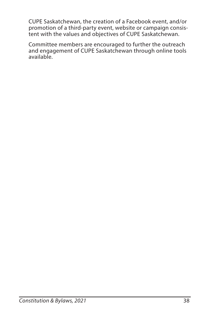CUPE Saskatchewan, the creation of a Facebook event, and/or promotion of a third-party event, website or campaign consistent with the values and objectives of CUPE Saskatchewan.

Committee members are encouraged to further the outreach and engagement of CUPE Saskatchewan through online tools available.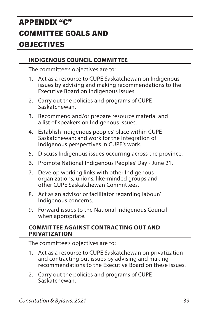## <span id="page-43-0"></span>APPENDIX "C" COMMITTEE GOALS AND OBJECTIVES

### **INDIGENOUS COUNCIL COMMITTEE**

The committee's objectives are to:

- 1. Act as a resource to CUPE Saskatchewan on Indigenous issues by advising and making recommendations to the Executive Board on Indigenous issues.
- 2. Carry out the policies and programs of CUPE Saskatchewan.
- 3. Recommend and/or prepare resource material and a list of speakers on Indigenous issues.
- 4. Establish Indigenous peoples' place within CUPE Saskatchewan; and work for the integration of Indigenous perspectives in CUPE's work.
- 5. Discuss Indigenous issues occurring across the province.
- 6. Promote National Indigenous Peoples' Day June 21.
- 7. Develop working links with other Indigenous organizations, unions, like-minded groups and other CUPE Saskatchewan Committees.
- 8. Act as an advisor or facilitator regarding labour/ Indigenous concerns.
- 9. Forward issues to the National Indigenous Council when appropriate.

#### **COMMITTEE AGAINST CONTRACTING OUT AND PRIVATIZATION**

- 1. Act as a resource to CUPE Saskatchewan on privatization and contracting out issues by advising and making recommendations to the Executive Board on these issues.
- 2. Carry out the policies and programs of CUPE Saskatchewan.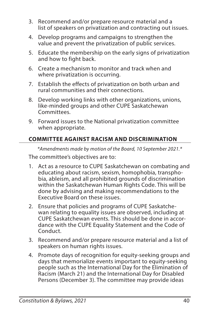- 3. Recommend and/or prepare resource material and a list of speakers on privatization and contracting out issues.
- 4. Develop programs and campaigns to strengthen the value and prevent the privatization of public services.
- 5. Educate the membership on the early signs of privatization and how to fight back.
- 6. Create a mechanism to monitor and track when and where privatization is occurring.
- 7. Establish the effects of privatization on both urban and rural communities and their connections.
- 8. Develop working links with other organizations, unions, like-minded groups and other CUPE Saskatchewan Committees.
- 9. Forward issues to the National privatization committee when appropriate.

### **COMMITTEE AGAINST RACISM AND DISCRIMINATION**

*\*Amendments made by motion of the Board, 10 September 2021.\**

- 1. Act as a resource to CUPE Saskatchewan on combating and educating about racism, sexism, homophobia, transphobia, ableism, and all prohibited grounds of discrimination within the Saskatchewan Human Rights Code. This will be done by advising and making recommendations to the Executive Board on these issues.
- 2. Ensure that policies and programs of CUPE Saskatchewan relating to equality issues are observed, including at CUPE Saskatchewan events. This should be done in accordance with the CUPE Equality Statement and the Code of Conduct.
- 3. Recommend and/or prepare resource material and a list of speakers on human rights issues.
- 4. Promote days of recognition for equity-seeking groups and days that memorialize events important to equity-seeking people such as the International Day for the Elimination of Racism (March 21) and the International Day for Disabled Persons (December 3). The committee may provide ideas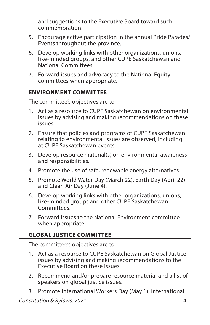and suggestions to the Executive Board toward such commemoration.

- 5. Encourage active participation in the annual Pride Parades/ Events throughout the province.
- 6. Develop working links with other organizations, unions, like-minded groups, and other CUPE Saskatchewan and National Committees.
- 7. Forward issues and advocacy to the National Equity committees when appropriate.

### **ENVIRONMENT COMMITTEE**

The committee's objectives are to:

- 1. Act as a resource to CUPE Saskatchewan on environmental issues by advising and making recommendations on these issues.
- 2. Ensure that policies and programs of CUPE Saskatchewan relating to environmental issues are observed, including at CUPE Saskatchewan events.
- 3. Develop resource material(s) on environmental awareness and responsibilities.
- 4. Promote the use of safe, renewable energy alternatives.
- 5. Promote World Water Day (March 22), Earth Day (April 22) and Clean Air Day (June 4).
- 6. Develop working links with other organizations, unions, like-minded groups and other CUPE Saskatchewan Committees.
- 7. Forward issues to the National Environment committee when appropriate.

### **GLOBAL JUSTICE COMMITTEE**

- 1. Act as a resource to CUPE Saskatchewan on Global Justice issues by advising and making recommendations to the Executive Board on these issues.
- 2. Recommend and/or prepare resource material and a list of speakers on global justice issues.
- 3. Promote International Workers Day (May 1), International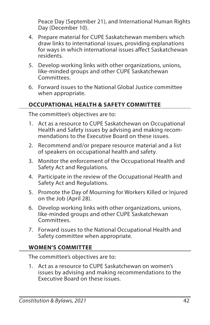Peace Day (September 21), and International Human Rights Day (December 10).

- 4. Prepare material for CUPE Saskatchewan members which draw links to international issues, providing explanations for ways in which international issues affect Saskatchewan residents.
- 5. Develop working links with other organizations, unions, like-minded groups and other CUPE Saskatchewan Committees.
- 6. Forward issues to the National Global Justice committee when appropriate.

### **OCCUPATIONAL HEALTH & SAFETY COMMITTEE**

The committee's objectives are to:

- 1. Act as a resource to CUPE Saskatchewan on Occupational Health and Safety issues by advising and making recommendations to the Executive Board on these issues.
- 2. Recommend and/or prepare resource material and a list of speakers on occupational health and safety.
- 3. Monitor the enforcement of the Occupational Health and Safety Act and Regulations.
- 4. Participate in the review of the Occupational Health and Safety Act and Regulations.
- 5. Promote the Day of Mourning for Workers Killed or Injured on the Job (April 28).
- 6. Develop working links with other organizations, unions, like-minded groups and other CUPE Saskatchewan Committees.
- 7. Forward issues to the National Occupational Health and Safety committee when appropriate.

### **WOMEN'S COMMITTEE**

The committee's objectives are to:

1. Act as a resource to CUPE Saskatchewan on women's issues by advising and making recommendations to the Executive Board on these issues.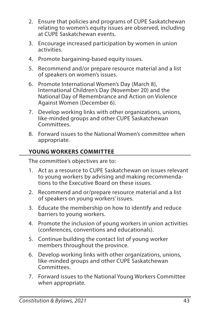- 2. Ensure that policies and programs of CUPE Saskatchewan relating to women's equity issues are observed, including at CUPE Saskatchewan events.
- 3. Encourage increased participation by women in union activities.
- 4. Promote bargaining-based equity issues.
- 5. Recommend and/or prepare resource material and a list of speakers on women's issues.
- 6. Promote International Women's Day (March 8), International Children's Day (November 20) and the National Day of Remembrance and Action on Violence Against Women (December 6).
- 7. Develop working links with other organizations, unions, like-minded groups and other CUPE Saskatchewan Committees.
- 8. Forward issues to the National Women's committee when appropriate.

### **YOUNG WORKERS COMMITTEE**

- 1. Act as a resource to CUPE Saskatchewan on issues relevant to young workers by advising and making recommendations to the Executive Board on these issues.
- 2. Recommend and or/prepare resource material and a list of speakers on young workers' issues.
- 3. Educate the membership on how to identify and reduce barriers to young workers.
- 4. Promote the inclusion of young workers in union activities (conferences, conventions and educationals).
- 5. Continue building the contact list of young worker members throughout the province.
- 6. Develop working links with other organizations, unions, like-minded groups and other CUPE Saskatchewan Committees.
- 7. Forward issues to the National Young Workers Committee when appropriate.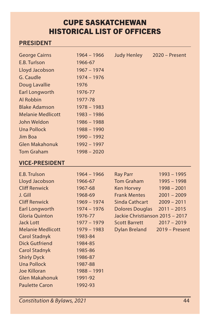### CUPE SASKATCHEWAN HISTORICAL LIST OF OFFICERS

### PRESIDENT

| <b>George Cairns</b> | 1964 – 1966   | <b>Judy Henley</b> | $2020$ – Present |
|----------------------|---------------|--------------------|------------------|
| E.B. Turlson         | 1966-67       |                    |                  |
| Lloyd Jacobson       | 1967 - 1974   |                    |                  |
| G. Caudle            | 1974 - 1976   |                    |                  |
| Doug Lavallie        | 1976          |                    |                  |
| Earl Longworth       | 1976-77       |                    |                  |
| Al Robbin            | 1977-78       |                    |                  |
| <b>Blake Adamson</b> | 1978 - 1983   |                    |                  |
| Melanie Medlicott    | 1983 – 1986   |                    |                  |
| John Weldon          | 1986 - 1988   |                    |                  |
| Una Pollock          | $1988 - 1990$ |                    |                  |
| Jim Boa              | 1990 - 1992   |                    |                  |
| Glen Makahonuk       | 1992 - 1997   |                    |                  |
| <b>Tom Graham</b>    | 1998 - 2020   |                    |                  |

### VICE-PRESIDENT

| E.B. Trulson          | 1964 - 1966   | <b>Ray Parr</b>                 | 1993 - 1995      |
|-----------------------|---------------|---------------------------------|------------------|
| Lloyd Jacobson        | 1966-67       | <b>Tom Graham</b>               | 1995 - 1998      |
| <b>Cliff Renwick</b>  | 1967-68       | Ken Horvey                      | $1998 - 2001$    |
| J. Gill               | 1968-69       | <b>Frank Mentes</b>             | $2001 - 2009$    |
| <b>Cliff Renwick</b>  | 1969 - 1974   | Sinda Cathcart                  | $2009 - 2011$    |
| Earl Longworth        | $1974 - 1976$ | <b>Dolores Douglas</b>          | $2011 - 2015$    |
| <b>Gloria Quinton</b> | 1976-77       | Jackie Christianson 2015 - 2017 |                  |
| Jack Lott             | 1977 - 1979   | <b>Scott Barrett</b>            | $2017 - 2019$    |
| Melanie Medlicott     | 1979 - 1983   | <b>Dylan Breland</b>            | $2019 -$ Present |
| <b>Carol Stadnyk</b>  | 1983-84       |                                 |                  |
| <b>Dick Gutfriend</b> | 1984-85       |                                 |                  |
| <b>Carol Stadnyk</b>  | 1985-86       |                                 |                  |
| <b>Shirly Dyck</b>    | 1986-87       |                                 |                  |
| <b>Una Pollock</b>    | 1987-88       |                                 |                  |
| Joe Killoran          | 1988 - 1991   |                                 |                  |
| Glen Makahonuk        | 1991-92       |                                 |                  |
| <b>Paulette Caron</b> | 1992-93       |                                 |                  |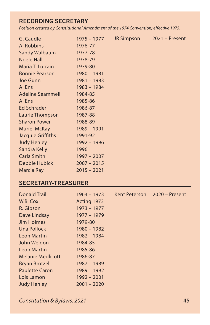### RECORDING SECRETARY

*Position created by Constitutional Amendment of the 1974 Convention; effective 1975.*

| G. Caudle               | 1975 – 1977   | JR Simpson | $2021 -$ Present |
|-------------------------|---------------|------------|------------------|
| <b>Al Robbins</b>       | 1976-77       |            |                  |
| <b>Sandy Walbaum</b>    | 1977-78       |            |                  |
| <b>Noele Hall</b>       | 1978-79       |            |                  |
| Maria T. Lorrain        | 1979-80       |            |                  |
| <b>Bonnie Pearson</b>   | $1980 - 1981$ |            |                  |
| Joe Gunn                | 1981 - 1983   |            |                  |
| Al Ens                  | 1983 - 1984   |            |                  |
| <b>Adeline Seammell</b> | 1984-85       |            |                  |
| Al Ens                  | 1985-86       |            |                  |
| Ed Schrader             | 1986-87       |            |                  |
| Laurie Thompson         | 1987-88       |            |                  |
| <b>Sharon Power</b>     | 1988-89       |            |                  |
| <b>Muriel McKay</b>     | 1989 - 1991   |            |                  |
| Jacquie Griffiths       | 1991-92       |            |                  |
| <b>Judy Henley</b>      | 1992 - 1996   |            |                  |
| Sandra Kelly            | 1996          |            |                  |
| Carla Smith             | $1997 - 2007$ |            |                  |
| Debbie Hubick           | $2007 - 2015$ |            |                  |
| Marcia Ray              | $2015 - 2021$ |            |                  |

#### SECRETARY-TREASURER

| <b>Donald Traill</b>     | $1964 - 1973$ | Kent Peterson | 2020 - Present |
|--------------------------|---------------|---------------|----------------|
| W.B. Cox                 | Acting 1973   |               |                |
| R. Gibson                | $1973 - 1977$ |               |                |
| Dave Lindsay             | 1977 - 1979   |               |                |
| <b>Jim Holmes</b>        | 1979-80       |               |                |
| Una Pollock              | $1980 - 1982$ |               |                |
| <b>Leon Martin</b>       | 1982 - 1984   |               |                |
| John Weldon              | 1984-85       |               |                |
| Leon Martin              | 1985-86       |               |                |
| <b>Melanie Medlicott</b> | 1986-87       |               |                |
| <b>Bryan Brotzel</b>     | 1987 - 1989   |               |                |
| <b>Paulette Caron</b>    | 1989 - 1992   |               |                |
| Lois Lamon               | $1992 - 2001$ |               |                |
| <b>Judy Henley</b>       | $2001 - 2020$ |               |                |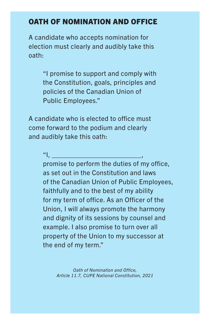### OATH OF NOMINATION AND OFFICE

A candidate who accepts nomination for election must clearly and audibly take this oath:

> "I promise to support and comply with the Constitution, goals, principles and policies of the Canadian Union of Public Employees."

A candidate who is elected to office must come forward to the podium and clearly and audibly take this oath:

 $^u$  |,  $^u$  |,  $^u$  |,  $^u$  |,  $^u$  |,  $^u$  |,  $^u$  |,  $^u$  |,  $^u$  |,  $^u$  |,  $^u$  |,  $^u$  |,  $^u$  |,  $^u$  |,  $^u$  |,  $^u$  |,  $^u$  |,  $^u$  |,  $^u$  |,  $^u$  |,  $^u$  |,  $^u$  |,  $^u$  |,  $^u$  |,  $^u$  |,  $^u$  |,  $^u$  |,  $^u$ 

promise to perform the duties of my office, as set out in the Constitution and laws of the Canadian Union of Public Employees, faithfully and to the best of my ability for my term of office. As an Officer of the Union, I will always promote the harmony and dignity of its sessions by counsel and example. I also promise to turn over all property of the Union to my successor at the end of my term."

> *Oath of Nomination and Office, Article 11.7, CUPE National Constitution, 2021*